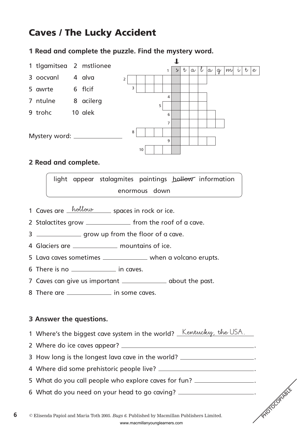# Caves / The Lucky Accident

## 1 **Read and complete the puzzle. Find the mystery word.**



## 2 **Read and complete.**

light appear stalagmites paintings hollow information enormous down

- 1 Caves are *hollow* spaces in rock or ice.
- 2 Stalactites grow \_\_\_\_\_\_\_\_\_\_\_\_\_\_\_\_ from the roof of a cave.
- 3 \_\_\_\_\_\_\_\_\_\_\_\_\_\_\_ grow up from the floor of a cave.
- 4 Glaciers are \_\_\_\_\_\_\_\_\_\_\_\_\_\_ mountains of ice.
- 5 Lava caves sometimes \_\_\_\_\_\_\_\_\_\_\_\_\_\_\_ when a volcano erupts.
- 6 There is no **in carry carefully** in caves.
- 7 Caves can give us important \_\_\_\_\_\_\_\_\_\_\_\_\_\_\_ about the past.
- 8 There are **in some caves**.

## 3 **Answer the questions.**

1 Where's the biggest cave system in the world? **Kentucky, the USA.**

2 Where do ice caves appear? .

3 How long is the longest lava cave in the world? \_\_\_\_\_\_\_\_\_\_\_\_\_\_\_\_\_\_\_\_\_\_\_.

4 Where did some prehistoric people live? .

- 5 What do you call people who explore caves for fun? \_\_\_\_\_\_\_\_\_\_\_\_\_\_\_\_\_\_.
- 

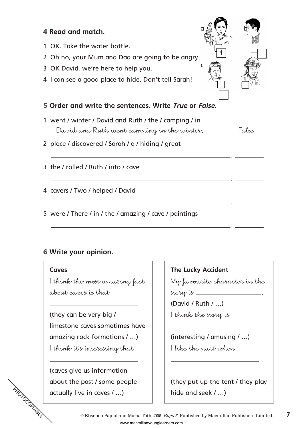## 4 **Read and match.**

- 1 OK. Take the water bottle.
- 2 Oh no, your Mum and Dad are going to be angry.
- 3 OK David, we're here to help you.
- 4 I can see a good place to hide. Don't tell Sarah!

## 5 **Order and write the sentences. Write True or False.**

- 1 went / winter / David and Ruth / the / camping / in **David and Ruth went camping in the winter. False**
- 2 place / discovered / Sarah / a / hiding / great
- 3 the / rolled / Ruth / into / cave
- 4 cavers / Two / helped / David
- 5 were / There / in / the / amazing / cave / paintings

**.**

**.**

## 6 **Write your opinion.**

#### **Caves**

**PHOTOCOPIABLE** 

**I think the most amazing fact about caves is that**

(they can be very big / limestone caves sometimes have amazing rock formations / …) **I think it's interesting that**

(caves give us information about the past / some people actually live in caves / …)

### **The Lucky Accident**

**My favourite character in the**

**story is .**

(David / Ruth / …)

**I think the story is**

(interesting / amusing / …)

**I like the part when**

(they put up the tent / they play hide and seek / …)



.

.

.

.

**.**

**.**